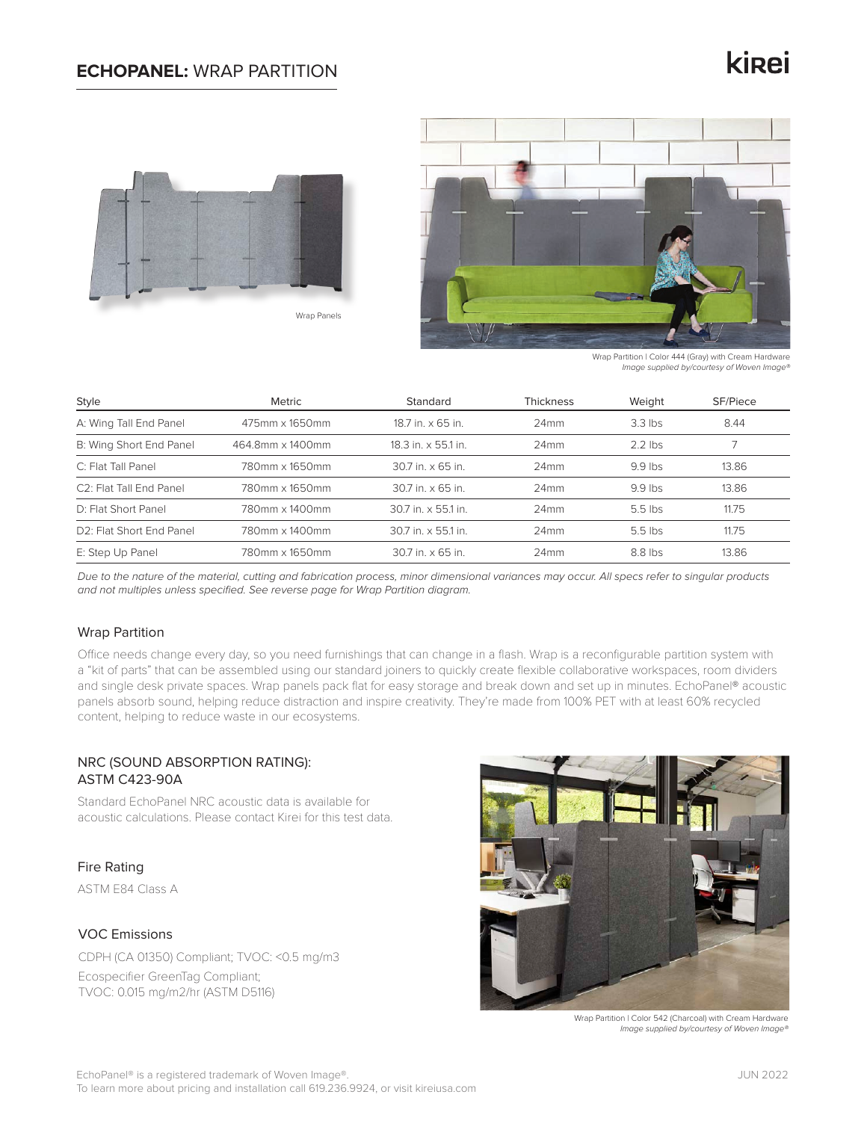## **ECHOPANEL:** WRAP PARTITION

# kinei





Wrap Partition | Color 444 (Gray) with Cream Hardware *Image supplied by/courtesy of Woven Image®*

| Style                                 | Metric           | Standard<br><b>Thickness</b> |      | Weight    | SF/Piece |  |
|---------------------------------------|------------------|------------------------------|------|-----------|----------|--|
| A: Wing Tall End Panel                | 475mm x 1650mm   | 18.7 in. x 65 in.<br>24mm    |      | $3.3$ lbs | 8.44     |  |
| B: Wing Short End Panel               | 464.8mm x 1400mm | 18.3 in. x 55.1 in.          | 24mm |           |          |  |
| C: Flat Tall Panel                    | 780mm x 1650mm   | 30.7 in. x 65 in.            | 24mm |           | 13.86    |  |
| C <sub>2</sub> : Flat Tall End Panel  | 780mm x 1650mm   | 30.7 in. x 65 in.            | 24mm | $9.9$ lbs | 13.86    |  |
| D: Flat Short Panel                   | 780mm x 1400mm   | 30.7 in. x 55.1 in.          | 24mm | $5.5$ lbs | 11.75    |  |
| D <sub>2</sub> : Flat Short End Panel | 780mm x 1400mm   | 30.7 in. x 55.1 in.          | 24mm | $5.5$ lbs | 11.75    |  |
| E: Step Up Panel                      | 780mm x 1650mm   | 30.7 in. x 65 in.            | 24mm | 8.8 lbs   | 13.86    |  |

*Due to the nature of the material, cutting and fabrication process, minor dimensional variances may occur. All specs refer to singular products and not multiples unless specified. See reverse page for Wrap Partition diagram.*

#### Wrap Partition

Office needs change every day, so you need furnishings that can change in a flash. Wrap is a reconfigurable partition system with a "kit of parts" that can be assembled using our standard joiners to quickly create flexible collaborative workspaces, room dividers and single desk private spaces. Wrap panels pack flat for easy storage and break down and set up in minutes. EchoPanel® acoustic panels absorb sound, helping reduce distraction and inspire creativity. They're made from 100% PET with at least 60% recycled content, helping to reduce waste in our ecosystems.

### NRC (SOUND ABSORPTION RATING): ASTM C423-90A

Standard EchoPanel NRC acoustic data is available for acoustic calculations. Please contact Kirei for this test data.

Fire Rating

ASTM E84 Class A

#### VOC Emissions

CDPH (CA 01350) Compliant; TVOC: <0.5 mg/m3 Ecospecifier GreenTag Compliant; TVOC: 0.015 mg/m2/hr (ASTM D5116)



Wrap Partition | Color 542 (Charcoal) with Cream Hardware *Image supplied by/courtesy of Woven Image®*